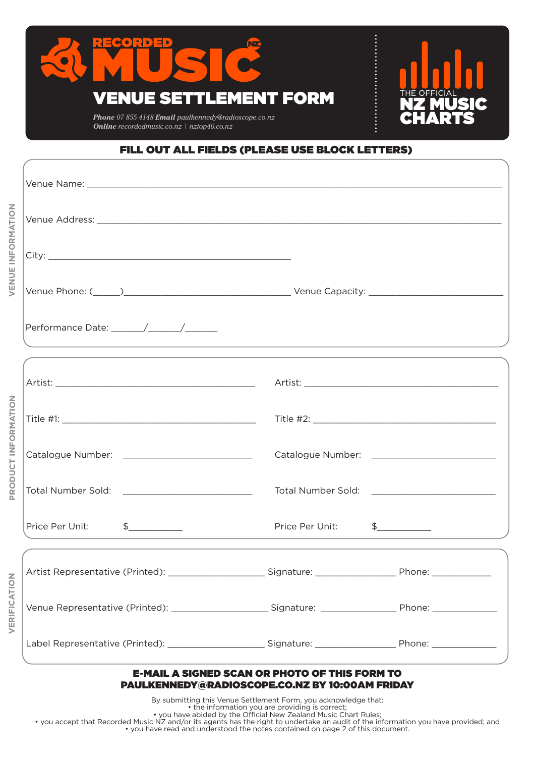

*Online recordedmusic.co.nz | nztop40.co.nz*



## FILL OUT ALL FIELDS (PLEASE USE BLOCK LETTERS)

| VENUE INFORMATION   |                                                                                  |                                                                                                        |               |
|---------------------|----------------------------------------------------------------------------------|--------------------------------------------------------------------------------------------------------|---------------|
|                     |                                                                                  |                                                                                                        |               |
|                     |                                                                                  |                                                                                                        |               |
|                     | ,我们也不能在这里的时候,我们也不能在这里的时候,我们也不能会在这里的时候,我们也不能会在这里的时候,我们也不能会在这里的时候,我们也不能会在这里的时候,我们也 |                                                                                                        |               |
| PRODUCT INFORMATION |                                                                                  |                                                                                                        |               |
|                     |                                                                                  |                                                                                                        |               |
|                     |                                                                                  |                                                                                                        |               |
|                     |                                                                                  |                                                                                                        |               |
|                     |                                                                                  |                                                                                                        |               |
|                     |                                                                                  | <b>Price Per Unit:</b>                                                                                 | $\frac{1}{2}$ |
| VERIFICATION        | Artist Representative (Printed): __________                                      | ______________ Signature: __________________________ Phone: _                                          |               |
|                     |                                                                                  |                                                                                                        |               |
|                     | Label Representative (Printed): Signature: Signature: Phone:                     |                                                                                                        |               |
|                     |                                                                                  | <b>E-MAIL A SIGNED SCAN OR PHOTO OF THIS FORM TO</b><br>PAULKENNEDY@RADIOSCOPE.CO.NZ BY 10:00AM FRIDAY |               |

By submitting this Venue Settlement Form, you acknowledge that: • the information you are providing is correct;

• you have abided by the Official New Zealand Music Chart Rules;

• you accept that Recorded Music NZ and/or its agents has the right to undertake an audit of the information you have provided; and • you have read and understood the notes contained on page 2 of this document.